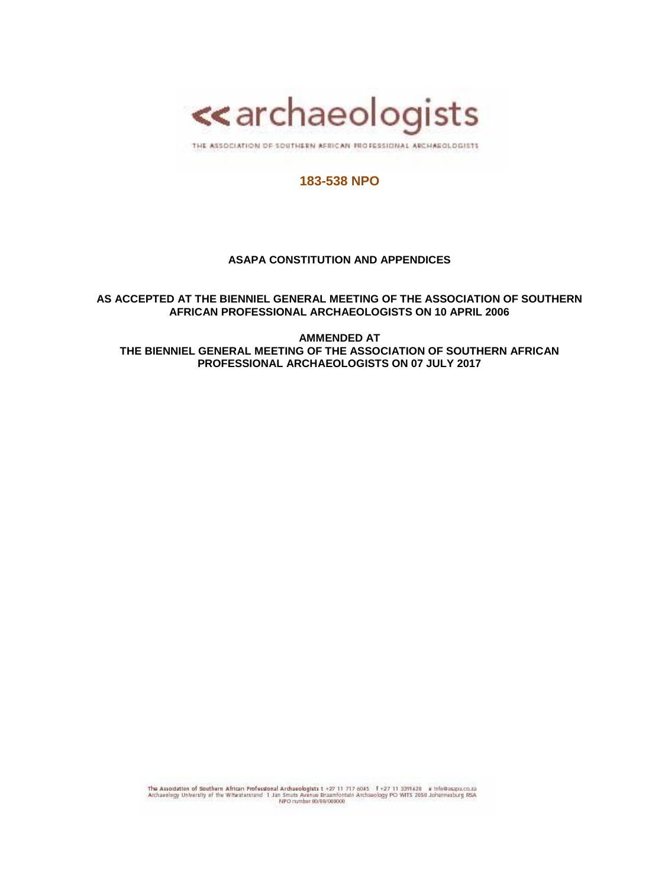

THE ASSOCIATION OF SOUTHERN AFRICAN FROFESSIONAL ARCHAEOLOGISTS

# **183-538 NPO**

### **ASAPA CONSTITUTION AND APPENDICES**

**AS ACCEPTED AT THE BIENNIEL GENERAL MEETING OF THE ASSOCIATION OF SOUTHERN AFRICAN PROFESSIONAL ARCHAEOLOGISTS ON 10 APRIL 2006**

**AMMENDED AT THE BIENNIEL GENERAL MEETING OF THE ASSOCIATION OF SOUTHERN AFRICAN PROFESSIONAL ARCHAEOLOGISTS ON 07 JULY 2017**

The Association of Southern African Professional Archaeologists t +27 11 717 6045  $f$  +27 11 3391620 e Info@aspaco.za<br>Archaeology University of the Witwatersrand 1 Jan Smuts Avenue Braumfortein Archaeology PO WITS 2050 Jo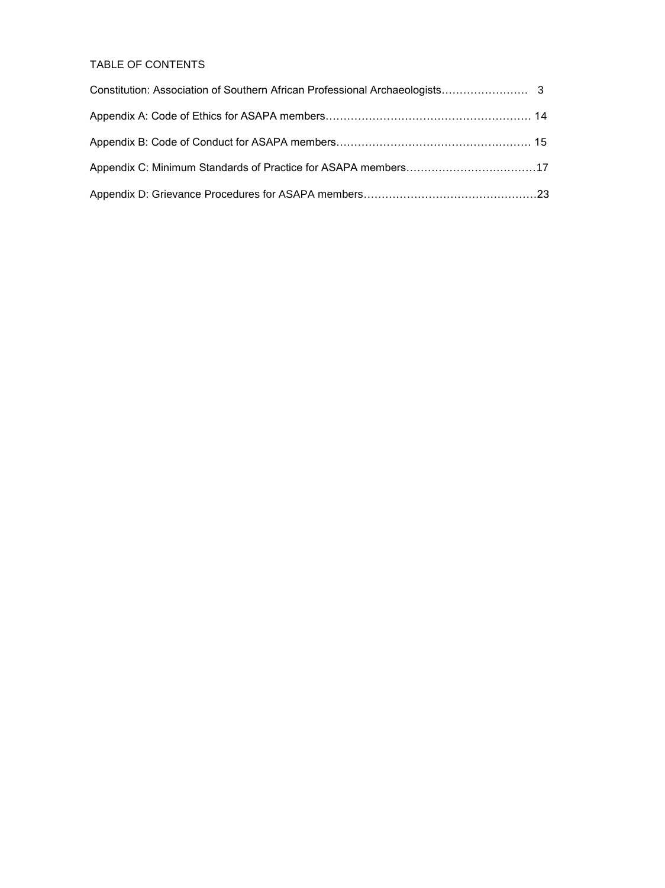# TABLE OF CONTENTS

| Appendix C: Minimum Standards of Practice for ASAPA members17 |  |
|---------------------------------------------------------------|--|
|                                                               |  |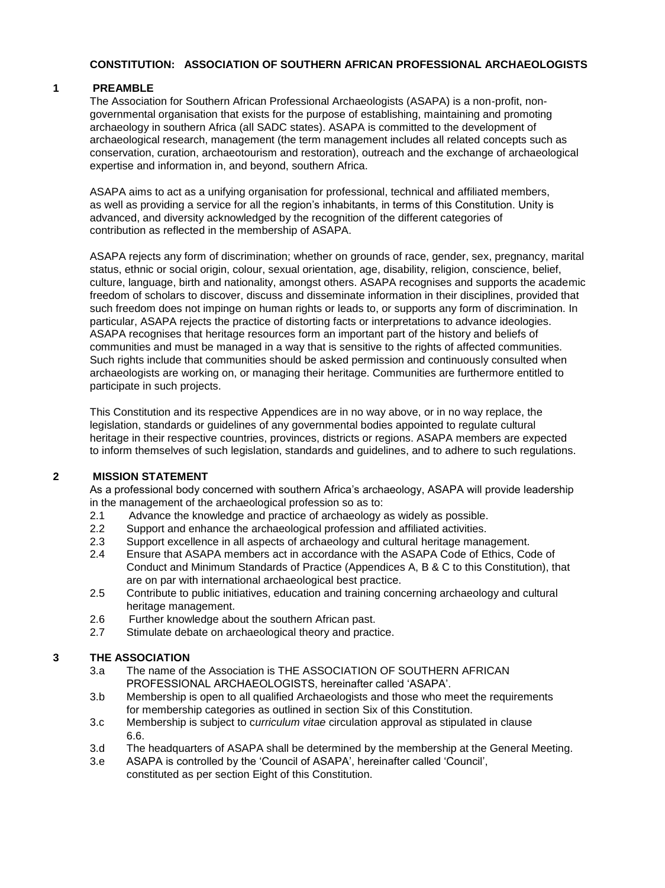### **CONSTITUTION: ASSOCIATION OF SOUTHERN AFRICAN PROFESSIONAL ARCHAEOLOGISTS**

### **1 PREAMBLE**

The Association for Southern African Professional Archaeologists (ASAPA) is a non-profit, nongovernmental organisation that exists for the purpose of establishing, maintaining and promoting archaeology in southern Africa (all SADC states). ASAPA is committed to the development of archaeological research, management (the term management includes all related concepts such as conservation, curation, archaeotourism and restoration), outreach and the exchange of archaeological expertise and information in, and beyond, southern Africa.

ASAPA aims to act as a unifying organisation for professional, technical and affiliated members, as well as providing a service for all the region's inhabitants, in terms of this Constitution. Unity is advanced, and diversity acknowledged by the recognition of the different categories of contribution as reflected in the membership of ASAPA.

ASAPA rejects any form of discrimination; whether on grounds of race, gender, sex, pregnancy, marital status, ethnic or social origin, colour, sexual orientation, age, disability, religion, conscience, belief, culture, language, birth and nationality, amongst others. ASAPA recognises and supports the academic freedom of scholars to discover, discuss and disseminate information in their disciplines, provided that such freedom does not impinge on human rights or leads to, or supports any form of discrimination. In particular, ASAPA rejects the practice of distorting facts or interpretations to advance ideologies. ASAPA recognises that heritage resources form an important part of the history and beliefs of communities and must be managed in a way that is sensitive to the rights of affected communities. Such rights include that communities should be asked permission and continuously consulted when archaeologists are working on, or managing their heritage. Communities are furthermore entitled to participate in such projects.

This Constitution and its respective Appendices are in no way above, or in no way replace, the legislation, standards or guidelines of any governmental bodies appointed to regulate cultural heritage in their respective countries, provinces, districts or regions. ASAPA members are expected to inform themselves of such legislation, standards and guidelines, and to adhere to such regulations.

#### **2 MISSION STATEMENT**

As a professional body concerned with southern Africa's archaeology, ASAPA will provide leadership in the management of the archaeological profession so as to:

- 2.1 Advance the knowledge and practice of archaeology as widely as possible.
- 2.2 Support and enhance the archaeological profession and affiliated activities.
- 2.3 Support excellence in all aspects of archaeology and cultural heritage management.
- 2.4 Ensure that ASAPA members act in accordance with the ASAPA Code of Ethics, Code of Conduct and Minimum Standards of Practice (Appendices A, B & C to this Constitution), that are on par with international archaeological best practice.
- 2.5 Contribute to public initiatives, education and training concerning archaeology and cultural heritage management.
- 2.6 Further knowledge about the southern African past.
- 2.7 Stimulate debate on archaeological theory and practice.

#### **3 THE ASSOCIATION**

- 3.a The name of the Association is THE ASSOCIATION OF SOUTHERN AFRICAN PROFESSIONAL ARCHAEOLOGISTS, hereinafter called 'ASAPA'.
- 3.b Membership is open to all qualified Archaeologists and those who meet the requirements for membership categories as outlined in section Six of this Constitution.
- 3.c Membership is subject to c*urriculum vitae* circulation approval as stipulated in clause 6.6.
- 3.d The headquarters of ASAPA shall be determined by the membership at the General Meeting.
- 3.e ASAPA is controlled by the 'Council of ASAPA', hereinafter called 'Council', constituted as per section Eight of this Constitution.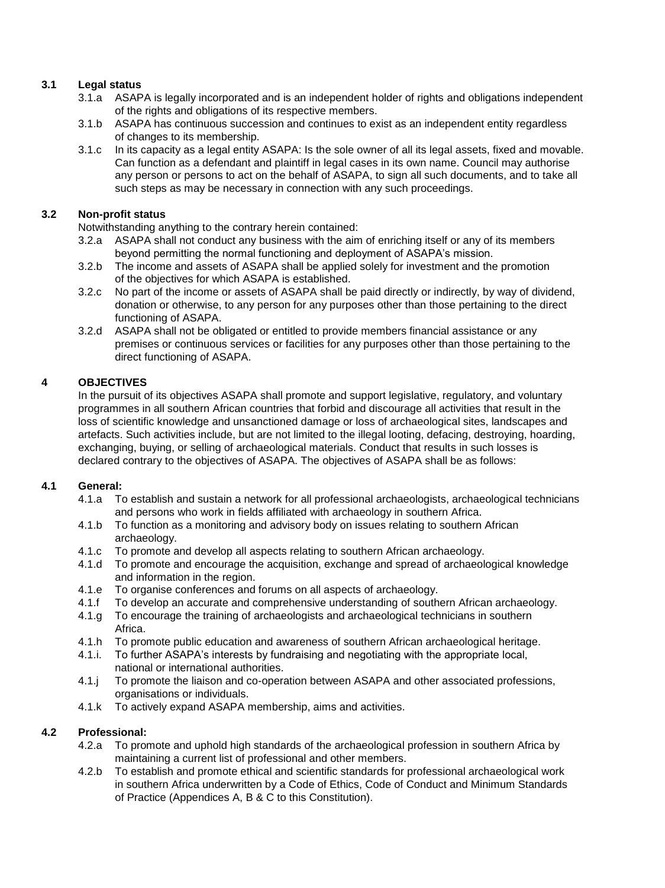# **3.1 Legal status**

- 3.1.a ASAPA is legally incorporated and is an independent holder of rights and obligations independent of the rights and obligations of its respective members.
- 3.1.b ASAPA has continuous succession and continues to exist as an independent entity regardless of changes to its membership.
- 3.1.c In its capacity as a legal entity ASAPA: Is the sole owner of all its legal assets, fixed and movable. Can function as a defendant and plaintiff in legal cases in its own name. Council may authorise any person or persons to act on the behalf of ASAPA, to sign all such documents, and to take all such steps as may be necessary in connection with any such proceedings.

# **3.2 Non-profit status**

Notwithstanding anything to the contrary herein contained:

- 3.2.a ASAPA shall not conduct any business with the aim of enriching itself or any of its members beyond permitting the normal functioning and deployment of ASAPA's mission.
- 3.2.b The income and assets of ASAPA shall be applied solely for investment and the promotion of the objectives for which ASAPA is established.
- 3.2.c No part of the income or assets of ASAPA shall be paid directly or indirectly, by way of dividend, donation or otherwise, to any person for any purposes other than those pertaining to the direct functioning of ASAPA.
- 3.2.d ASAPA shall not be obligated or entitled to provide members financial assistance or any premises or continuous services or facilities for any purposes other than those pertaining to the direct functioning of ASAPA.

# **4 OBJECTIVES**

In the pursuit of its objectives ASAPA shall promote and support legislative, regulatory, and voluntary programmes in all southern African countries that forbid and discourage all activities that result in the loss of scientific knowledge and unsanctioned damage or loss of archaeological sites, landscapes and artefacts. Such activities include, but are not limited to the illegal looting, defacing, destroying, hoarding, exchanging, buying, or selling of archaeological materials. Conduct that results in such losses is declared contrary to the objectives of ASAPA. The objectives of ASAPA shall be as follows:

#### **4.1 General:**

- 4.1.a To establish and sustain a network for all professional archaeologists, archaeological technicians and persons who work in fields affiliated with archaeology in southern Africa.
- 4.1.b To function as a monitoring and advisory body on issues relating to southern African archaeology.
- 4.1.c To promote and develop all aspects relating to southern African archaeology.
- 4.1.d To promote and encourage the acquisition, exchange and spread of archaeological knowledge and information in the region.
- 4.1.e To organise conferences and forums on all aspects of archaeology.
- 4.1.f To develop an accurate and comprehensive understanding of southern African archaeology.
- 4.1.g To encourage the training of archaeologists and archaeological technicians in southern Africa.
- 4.1.h To promote public education and awareness of southern African archaeological heritage.
- 4.1.i. To further ASAPA's interests by fundraising and negotiating with the appropriate local, national or international authorities.
- 4.1.j To promote the liaison and co-operation between ASAPA and other associated professions, organisations or individuals.
- 4.1.k To actively expand ASAPA membership, aims and activities.

# **4.2 Professional:**

- 4.2.a To promote and uphold high standards of the archaeological profession in southern Africa by maintaining a current list of professional and other members.
- 4.2.b To establish and promote ethical and scientific standards for professional archaeological work in southern Africa underwritten by a Code of Ethics, Code of Conduct and Minimum Standards of Practice (Appendices A, B & C to this Constitution).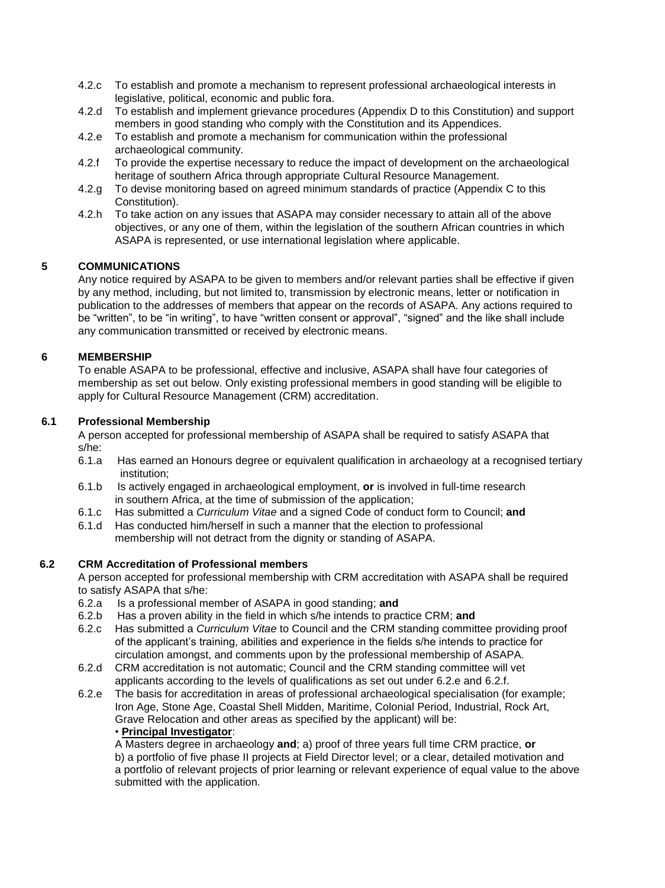- 4.2.c To establish and promote a mechanism to represent professional archaeological interests in legislative, political, economic and public fora.
- 4.2.d To establish and implement grievance procedures (Appendix D to this Constitution) and support members in good standing who comply with the Constitution and its Appendices.
- 4.2.e To establish and promote a mechanism for communication within the professional archaeological community.
- 4.2.f To provide the expertise necessary to reduce the impact of development on the archaeological heritage of southern Africa through appropriate Cultural Resource Management.
- 4.2.g To devise monitoring based on agreed minimum standards of practice (Appendix C to this Constitution).
- 4.2.h To take action on any issues that ASAPA may consider necessary to attain all of the above objectives, or any one of them, within the legislation of the southern African countries in which ASAPA is represented, or use international legislation where applicable.

### **5 COMMUNICATIONS**

Any notice required by ASAPA to be given to members and/or relevant parties shall be effective if given by any method, including, but not limited to, transmission by electronic means, letter or notification in publication to the addresses of members that appear on the records of ASAPA. Any actions required to be "written", to be "in writing", to have "written consent or approval", "signed" and the like shall include any communication transmitted or received by electronic means.

### **6 MEMBERSHIP**

To enable ASAPA to be professional, effective and inclusive, ASAPA shall have four categories of membership as set out below. Only existing professional members in good standing will be eligible to apply for Cultural Resource Management (CRM) accreditation.

### **6.1 Professional Membership**

A person accepted for professional membership of ASAPA shall be required to satisfy ASAPA that s/he:

- 6.1.a Has earned an Honours degree or equivalent qualification in archaeology at a recognised tertiary institution;
- 6.1.b Is actively engaged in archaeological employment, **or** is involved in full-time research in southern Africa, at the time of submission of the application;
- 6.1.c Has submitted a *Curriculum Vitae* and a signed Code of conduct form to Council; **and**
- 6.1.d Has conducted him/herself in such a manner that the election to professional membership will not detract from the dignity or standing of ASAPA.

#### **6.2 CRM Accreditation of Professional members**

A person accepted for professional membership with CRM accreditation with ASAPA shall be required to satisfy ASAPA that s/he:

- 6.2.a 6.2.a Is a professional member of ASAPA in good standing; **and**
- 6.2.b 6.2.b Has a proven ability in the field in which s/he intends to practice CRM; **and**
- 6.2.c Has submitted a *Curriculum Vitae* to Council and the CRM standing committee providing proof of the applicant's training, abilities and experience in the fields s/he intends to practice for circulation amongst, and comments upon by the professional membership of ASAPA.
- 6.2.d CRM accreditation is not automatic; Council and the CRM standing committee will vet applicants according to the levels of qualifications as set out under 6.2.e and 6.2.f.
- 6.2.e The basis for accreditation in areas of professional archaeological specialisation (for example; Iron Age, Stone Age, Coastal Shell Midden, Maritime, Colonial Period, Industrial, Rock Art, Grave Relocation and other areas as specified by the applicant) will be: • **Principal Investigator**:

A Masters degree in archaeology **and**; a) proof of three years full time CRM practice, **or** b) a portfolio of five phase II projects at Field Director level; or a clear, detailed motivation and a portfolio of relevant projects of prior learning or relevant experience of equal value to the above submitted with the application.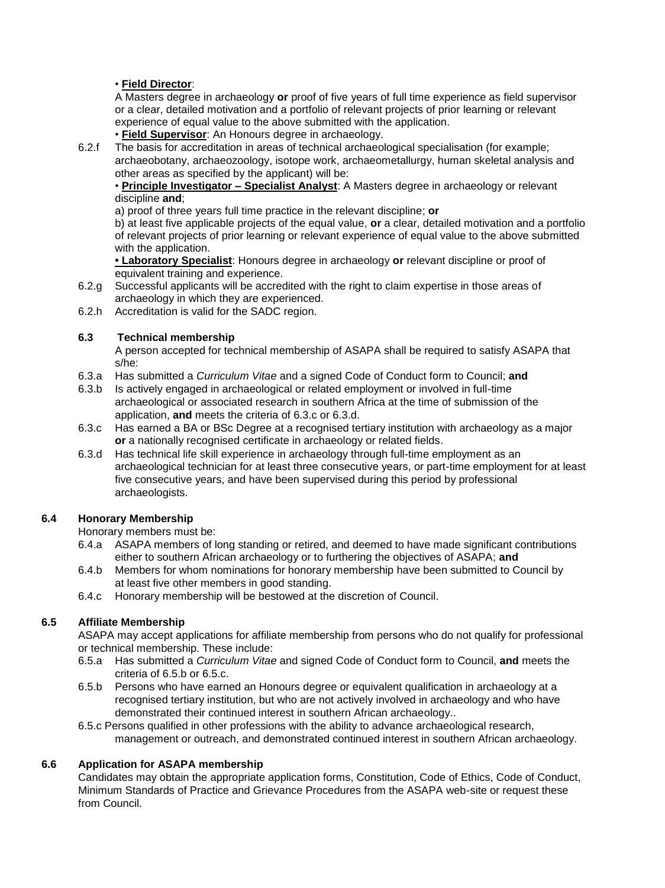# • **Field Director**:

A Masters degree in archaeology **or** proof of five years of full time experience as field supervisor or a clear, detailed motivation and a portfolio of relevant projects of prior learning or relevant experience of equal value to the above submitted with the application.

- **Field Supervisor**: An Honours degree in archaeology.
- 6.2.f The basis for accreditation in areas of technical archaeological specialisation (for example; archaeobotany, archaeozoology, isotope work, archaeometallurgy, human skeletal analysis and other areas as specified by the applicant) will be:

• **Principle Investigator – Specialist Analyst**: A Masters degree in archaeology or relevant discipline **and**;

a) proof of three years full time practice in the relevant discipline; **or**

b) at least five applicable projects of the equal value, **or** a clear, detailed motivation and a portfolio of relevant projects of prior learning or relevant experience of equal value to the above submitted with the application.

**• Laboratory Specialist**: Honours degree in archaeology **or** relevant discipline or proof of equivalent training and experience.

- 6.2.g Successful applicants will be accredited with the right to claim expertise in those areas of archaeology in which they are experienced.
- 6.2.h Accreditation is valid for the SADC region.

# **6.3 Technical membership**

A person accepted for technical membership of ASAPA shall be required to satisfy ASAPA that s/he:

- 6.3.a Has submitted a *Curriculum Vitae* and a signed Code of Conduct form to Council; **and**
- 6.3.b Is actively engaged in archaeological or related employment or involved in full-time archaeological or associated research in southern Africa at the time of submission of the application, **and** meets the criteria of 6.3.c or 6.3.d.
- 6.3.c Has earned a BA or BSc Degree at a recognised tertiary institution with archaeology as a major **or** a nationally recognised certificate in archaeology or related fields.
- 6.3.d Has technical life skill experience in archaeology through full-time employment as an archaeological technician for at least three consecutive years, or part-time employment for at least five consecutive years, and have been supervised during this period by professional archaeologists.

# **6.4 Honorary Membership**

Honorary members must be:

- 6.4.a ASAPA members of long standing or retired, and deemed to have made significant contributions either to southern African archaeology or to furthering the objectives of ASAPA; **and**
- 6.4.b Members for whom nominations for honorary membership have been submitted to Council by at least five other members in good standing.
- 6.4.c Honorary membership will be bestowed at the discretion of Council.

# **6.5 Affiliate Membership**

ASAPA may accept applications for affiliate membership from persons who do not qualify for professional or technical membership. These include:

- 6.5.a Has submitted a *Curriculum Vitae* and signed Code of Conduct form to Council, **and** meets the criteria of 6.5.b or 6.5.c.
- 6.5.b Persons who have earned an Honours degree or equivalent qualification in archaeology at a recognised tertiary institution, but who are not actively involved in archaeology and who have demonstrated their continued interest in southern African archaeology..
- 6.5.c Persons qualified in other professions with the ability to advance archaeological research, management or outreach, and demonstrated continued interest in southern African archaeology.

# **6.6 Application for ASAPA membership**

Candidates may obtain the appropriate application forms, Constitution, Code of Ethics, Code of Conduct, Minimum Standards of Practice and Grievance Procedures from the ASAPA web-site or request these from Council.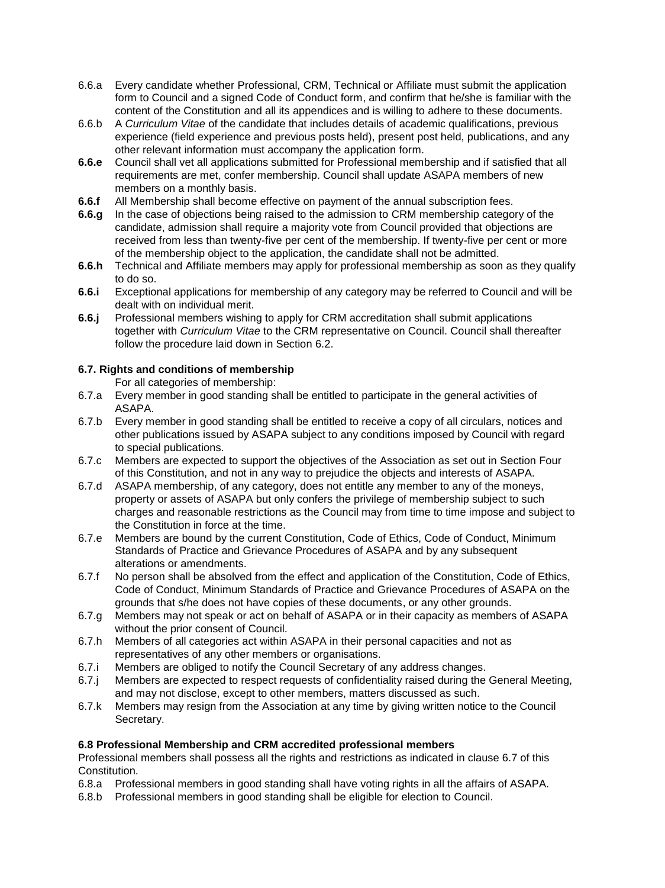- 6.6.a Every candidate whether Professional, CRM, Technical or Affiliate must submit the application form to Council and a signed Code of Conduct form, and confirm that he/she is familiar with the content of the Constitution and all its appendices and is willing to adhere to these documents.
- 6.6.b A *Curriculum Vitae* of the candidate that includes details of academic qualifications, previous experience (field experience and previous posts held), present post held, publications, and any other relevant information must accompany the application form.
- **6.6.e** Council shall vet all applications submitted for Professional membership and if satisfied that all requirements are met, confer membership. Council shall update ASAPA members of new members on a monthly basis.
- **6.6.f** All Membership shall become effective on payment of the annual subscription fees.
- **6.6.g** In the case of objections being raised to the admission to CRM membership category of the candidate, admission shall require a majority vote from Council provided that objections are received from less than twenty-five per cent of the membership. If twenty-five per cent or more of the membership object to the application, the candidate shall not be admitted.
- **6.6.h** Technical and Affiliate members may apply for professional membership as soon as they qualify to do so.
- **6.6.i** Exceptional applications for membership of any category may be referred to Council and will be dealt with on individual merit.
- **6.6.j** Professional members wishing to apply for CRM accreditation shall submit applications together with *Curriculum Vitae* to the CRM representative on Council. Council shall thereafter follow the procedure laid down in Section 6.2.

### **6.7. Rights and conditions of membership**

- For all categories of membership:
- 6.7.a Every member in good standing shall be entitled to participate in the general activities of ASAPA.
- 6.7.b Every member in good standing shall be entitled to receive a copy of all circulars, notices and other publications issued by ASAPA subject to any conditions imposed by Council with regard to special publications.
- 6.7.c Members are expected to support the objectives of the Association as set out in Section Four of this Constitution, and not in any way to prejudice the objects and interests of ASAPA.
- 6.7.d ASAPA membership, of any category, does not entitle any member to any of the moneys, property or assets of ASAPA but only confers the privilege of membership subject to such charges and reasonable restrictions as the Council may from time to time impose and subject to the Constitution in force at the time.
- 6.7.e Members are bound by the current Constitution, Code of Ethics, Code of Conduct, Minimum Standards of Practice and Grievance Procedures of ASAPA and by any subsequent alterations or amendments.
- 6.7.f No person shall be absolved from the effect and application of the Constitution, Code of Ethics, Code of Conduct, Minimum Standards of Practice and Grievance Procedures of ASAPA on the grounds that s/he does not have copies of these documents, or any other grounds.
- 6.7.g Members may not speak or act on behalf of ASAPA or in their capacity as members of ASAPA without the prior consent of Council.
- 6.7.h Members of all categories act within ASAPA in their personal capacities and not as representatives of any other members or organisations.
- 6.7.i Members are obliged to notify the Council Secretary of any address changes.
- 6.7.j Members are expected to respect requests of confidentiality raised during the General Meeting, and may not disclose, except to other members, matters discussed as such.
- 6.7.k Members may resign from the Association at any time by giving written notice to the Council Secretary.

#### **6.8 Professional Membership and CRM accredited professional members**

Professional members shall possess all the rights and restrictions as indicated in clause 6.7 of this Constitution.

- 6.8.a Professional members in good standing shall have voting rights in all the affairs of ASAPA.
- 6.8.b Professional members in good standing shall be eligible for election to Council.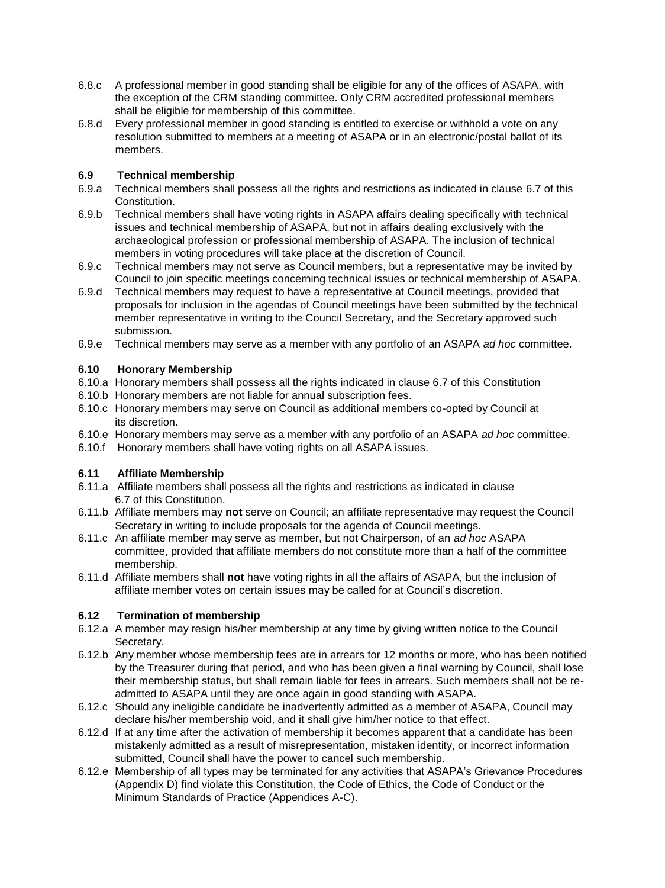- 6.8.c A professional member in good standing shall be eligible for any of the offices of ASAPA, with the exception of the CRM standing committee. Only CRM accredited professional members shall be eligible for membership of this committee.
- 6.8.d Every professional member in good standing is entitled to exercise or withhold a vote on any resolution submitted to members at a meeting of ASAPA or in an electronic/postal ballot of its members.

# **6.9 Technical membership**

- 6.9.a Technical members shall possess all the rights and restrictions as indicated in clause 6.7 of this Constitution.
- 6.9.b Technical members shall have voting rights in ASAPA affairs dealing specifically with technical issues and technical membership of ASAPA, but not in affairs dealing exclusively with the archaeological profession or professional membership of ASAPA. The inclusion of technical members in voting procedures will take place at the discretion of Council.
- 6.9.c Technical members may not serve as Council members, but a representative may be invited by Council to join specific meetings concerning technical issues or technical membership of ASAPA.
- 6.9.d Technical members may request to have a representative at Council meetings, provided that proposals for inclusion in the agendas of Council meetings have been submitted by the technical member representative in writing to the Council Secretary, and the Secretary approved such submission.
- 6.9.e Technical members may serve as a member with any portfolio of an ASAPA *ad hoc* committee.

### **6.10 Honorary Membership**

- 6.10.a Honorary members shall possess all the rights indicated in clause 6.7 of this Constitution
- 6.10.b Honorary members are not liable for annual subscription fees.
- 6.10.c Honorary members may serve on Council as additional members co-opted by Council at its discretion.
- 6.10.e Honorary members may serve as a member with any portfolio of an ASAPA *ad hoc* committee.
- 6.10.f Honorary members shall have voting rights on all ASAPA issues.

# **6.11 Affiliate Membership**

- 6.11.a Affiliate members shall possess all the rights and restrictions as indicated in clause 6.7 of this Constitution.
- 6.11.b Affiliate members may **not** serve on Council; an affiliate representative may request the Council Secretary in writing to include proposals for the agenda of Council meetings.
- 6.11.c An affiliate member may serve as member, but not Chairperson, of an *ad hoc* ASAPA committee, provided that affiliate members do not constitute more than a half of the committee membership.
- 6.11.d Affiliate members shall **not** have voting rights in all the affairs of ASAPA, but the inclusion of affiliate member votes on certain issues may be called for at Council's discretion.

# **6.12 Termination of membership**

- 6.12.a A member may resign his/her membership at any time by giving written notice to the Council Secretary.
- 6.12.b Any member whose membership fees are in arrears for 12 months or more, who has been notified by the Treasurer during that period, and who has been given a final warning by Council, shall lose their membership status, but shall remain liable for fees in arrears. Such members shall not be readmitted to ASAPA until they are once again in good standing with ASAPA.
- 6.12.c Should any ineligible candidate be inadvertently admitted as a member of ASAPA, Council may declare his/her membership void, and it shall give him/her notice to that effect.
- 6.12.d If at any time after the activation of membership it becomes apparent that a candidate has been mistakenly admitted as a result of misrepresentation, mistaken identity, or incorrect information submitted, Council shall have the power to cancel such membership.
- 6.12.e Membership of all types may be terminated for any activities that ASAPA's Grievance Procedures (Appendix D) find violate this Constitution, the Code of Ethics, the Code of Conduct or the Minimum Standards of Practice (Appendices A-C).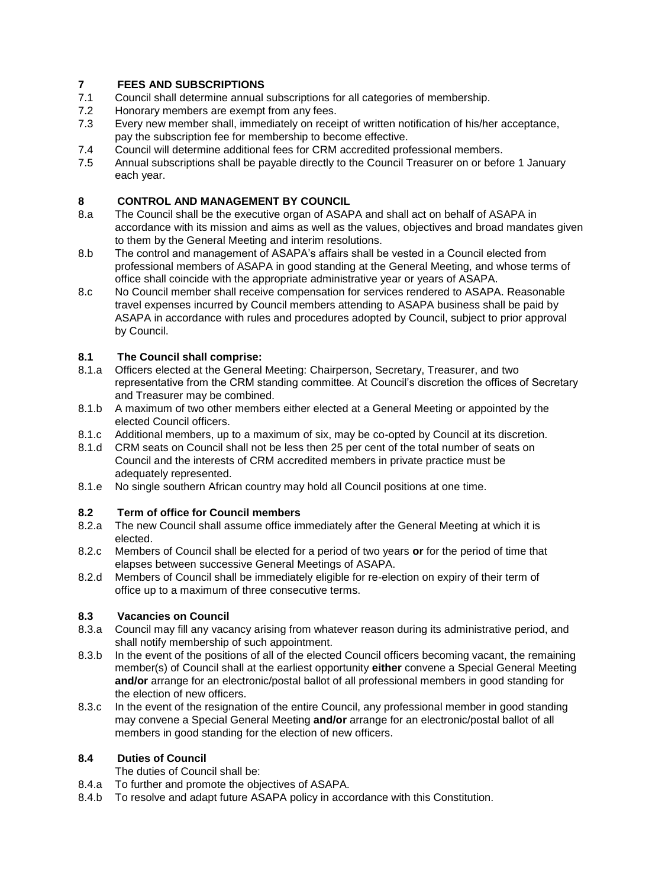# **7 FEES AND SUBSCRIPTIONS**

- 7.1 Council shall determine annual subscriptions for all categories of membership.
- 7.2 Honorary members are exempt from any fees.
- 7.3 Every new member shall, immediately on receipt of written notification of his/her acceptance, pay the subscription fee for membership to become effective.
- 7.4 Council will determine additional fees for CRM accredited professional members.
- 7.5 Annual subscriptions shall be payable directly to the Council Treasurer on or before 1 January each year.

# **8 CONTROL AND MANAGEMENT BY COUNCIL**

- 8.a The Council shall be the executive organ of ASAPA and shall act on behalf of ASAPA in accordance with its mission and aims as well as the values, objectives and broad mandates given to them by the General Meeting and interim resolutions.
- 8.b The control and management of ASAPA's affairs shall be vested in a Council elected from professional members of ASAPA in good standing at the General Meeting, and whose terms of office shall coincide with the appropriate administrative year or years of ASAPA.
- 8.c No Council member shall receive compensation for services rendered to ASAPA. Reasonable travel expenses incurred by Council members attending to ASAPA business shall be paid by ASAPA in accordance with rules and procedures adopted by Council, subject to prior approval by Council.

# **8.1 The Council shall comprise:**

- 8.1.a Officers elected at the General Meeting: Chairperson, Secretary, Treasurer, and two representative from the CRM standing committee. At Council's discretion the offices of Secretary and Treasurer may be combined.
- 8.1.b A maximum of two other members either elected at a General Meeting or appointed by the elected Council officers.
- 8.1.c Additional members, up to a maximum of six, may be co-opted by Council at its discretion.
- 8.1.d CRM seats on Council shall not be less then 25 per cent of the total number of seats on Council and the interests of CRM accredited members in private practice must be adequately represented.
- 8.1.e No single southern African country may hold all Council positions at one time.

# **8.2 Term of office for Council members**

- 8.2.a The new Council shall assume office immediately after the General Meeting at which it is elected.
- 8.2.c Members of Council shall be elected for a period of two years **or** for the period of time that elapses between successive General Meetings of ASAPA.
- 8.2.d Members of Council shall be immediately eligible for re-election on expiry of their term of office up to a maximum of three consecutive terms.

# **8.3 Vacancies on Council**

- 8.3.a Council may fill any vacancy arising from whatever reason during its administrative period, and shall notify membership of such appointment.
- 8.3.b In the event of the positions of all of the elected Council officers becoming vacant, the remaining member(s) of Council shall at the earliest opportunity **either** convene a Special General Meeting **and/or** arrange for an electronic/postal ballot of all professional members in good standing for the election of new officers.
- 8.3.c In the event of the resignation of the entire Council, any professional member in good standing may convene a Special General Meeting **and/or** arrange for an electronic/postal ballot of all members in good standing for the election of new officers.

# **8.4 Duties of Council**

- The duties of Council shall be:
- 8.4.a To further and promote the objectives of ASAPA.
- 8.4.b To resolve and adapt future ASAPA policy in accordance with this Constitution.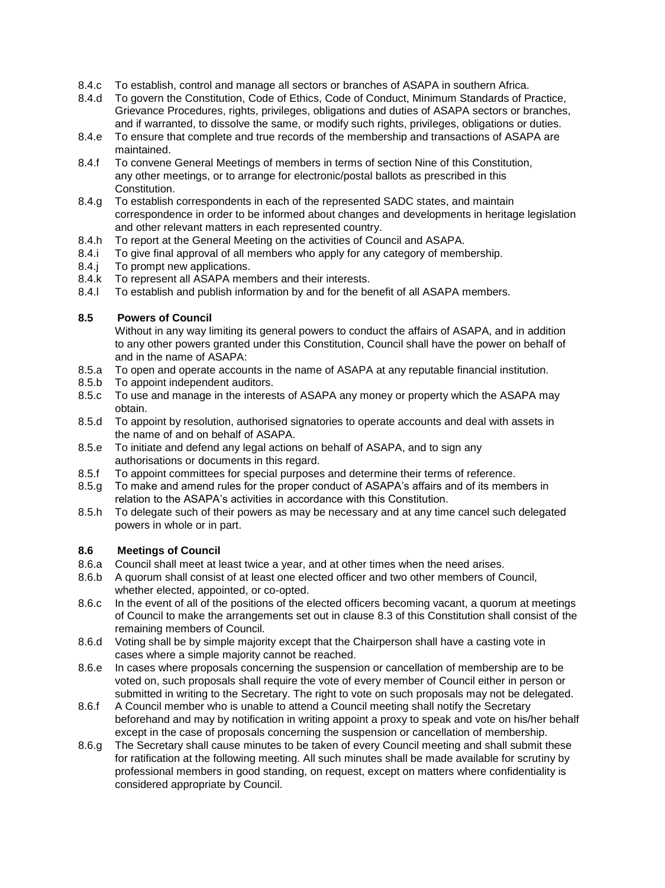- 8.4.c To establish, control and manage all sectors or branches of ASAPA in southern Africa.
- 8.4.d To govern the Constitution, Code of Ethics, Code of Conduct, Minimum Standards of Practice, Grievance Procedures, rights, privileges, obligations and duties of ASAPA sectors or branches, and if warranted, to dissolve the same, or modify such rights, privileges, obligations or duties.
- 8.4.e To ensure that complete and true records of the membership and transactions of ASAPA are maintained.
- 8.4.f To convene General Meetings of members in terms of section Nine of this Constitution, any other meetings, or to arrange for electronic/postal ballots as prescribed in this Constitution.
- 8.4.g To establish correspondents in each of the represented SADC states, and maintain correspondence in order to be informed about changes and developments in heritage legislation and other relevant matters in each represented country.
- 8.4.h To report at the General Meeting on the activities of Council and ASAPA.
- 8.4.i To give final approval of all members who apply for any category of membership.
- 8.4.j To prompt new applications.
- 8.4.k To represent all ASAPA members and their interests.
- 8.4.l To establish and publish information by and for the benefit of all ASAPA members.

### **8.5 Powers of Council**

Without in any way limiting its general powers to conduct the affairs of ASAPA, and in addition to any other powers granted under this Constitution, Council shall have the power on behalf of and in the name of ASAPA:

- 8.5.a To open and operate accounts in the name of ASAPA at any reputable financial institution.
- 8.5.b To appoint independent auditors.
- 8.5.c To use and manage in the interests of ASAPA any money or property which the ASAPA may obtain.
- 8.5.d To appoint by resolution, authorised signatories to operate accounts and deal with assets in the name of and on behalf of ASAPA.
- 8.5.e To initiate and defend any legal actions on behalf of ASAPA, and to sign any authorisations or documents in this regard.
- 8.5.f To appoint committees for special purposes and determine their terms of reference.
- 8.5.g To make and amend rules for the proper conduct of ASAPA's affairs and of its members in relation to the ASAPA's activities in accordance with this Constitution.
- 8.5.h To delegate such of their powers as may be necessary and at any time cancel such delegated powers in whole or in part.

#### **8.6 Meetings of Council**

- 8.6.a Council shall meet at least twice a year, and at other times when the need arises.
- 8.6.b A quorum shall consist of at least one elected officer and two other members of Council, whether elected, appointed, or co-opted.
- 8.6.c In the event of all of the positions of the elected officers becoming vacant, a quorum at meetings of Council to make the arrangements set out in clause 8.3 of this Constitution shall consist of the remaining members of Council.
- 8.6.d Voting shall be by simple majority except that the Chairperson shall have a casting vote in cases where a simple majority cannot be reached.
- 8.6.e In cases where proposals concerning the suspension or cancellation of membership are to be voted on, such proposals shall require the vote of every member of Council either in person or submitted in writing to the Secretary. The right to vote on such proposals may not be delegated.
- 8.6.f A Council member who is unable to attend a Council meeting shall notify the Secretary beforehand and may by notification in writing appoint a proxy to speak and vote on his/her behalf except in the case of proposals concerning the suspension or cancellation of membership.
- 8.6.g The Secretary shall cause minutes to be taken of every Council meeting and shall submit these for ratification at the following meeting. All such minutes shall be made available for scrutiny by professional members in good standing, on request, except on matters where confidentiality is considered appropriate by Council.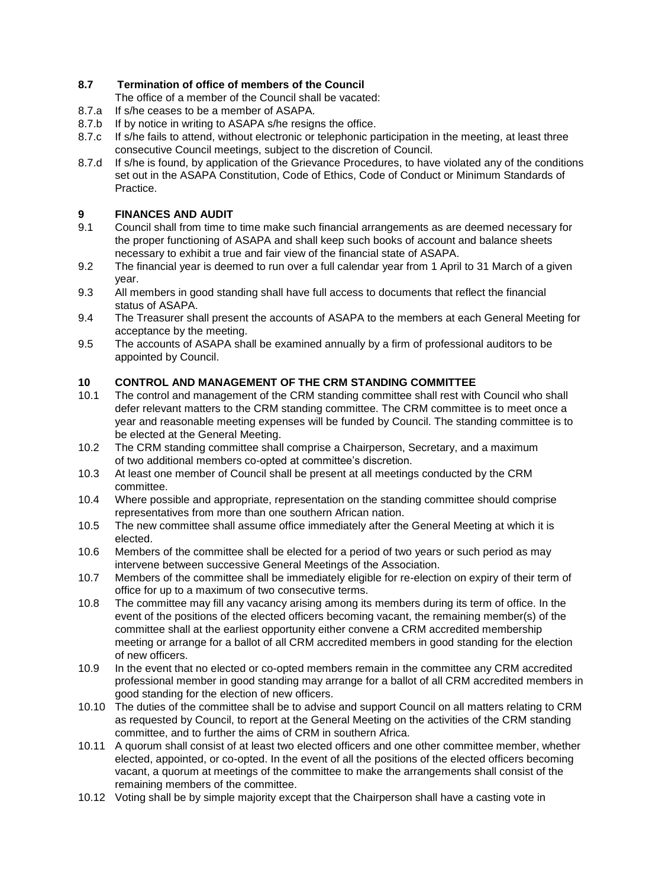# **8.7 Termination of office of members of the Council**

The office of a member of the Council shall be vacated:

- 8.7.a If s/he ceases to be a member of ASAPA.
- 8.7.b If by notice in writing to ASAPA s/he resigns the office.
- 8.7.c If s/he fails to attend, without electronic or telephonic participation in the meeting, at least three consecutive Council meetings, subject to the discretion of Council.
- 8.7.d If s/he is found, by application of the Grievance Procedures, to have violated any of the conditions set out in the ASAPA Constitution, Code of Ethics, Code of Conduct or Minimum Standards of Practice.

# **9 FINANCES AND AUDIT**

- 9.1 Council shall from time to time make such financial arrangements as are deemed necessary for the proper functioning of ASAPA and shall keep such books of account and balance sheets necessary to exhibit a true and fair view of the financial state of ASAPA.
- 9.2 The financial year is deemed to run over a full calendar year from 1 April to 31 March of a given year.
- 9.3 All members in good standing shall have full access to documents that reflect the financial status of ASAPA.
- 9.4 The Treasurer shall present the accounts of ASAPA to the members at each General Meeting for acceptance by the meeting.
- 9.5 The accounts of ASAPA shall be examined annually by a firm of professional auditors to be appointed by Council.

### **10 CONTROL AND MANAGEMENT OF THE CRM STANDING COMMITTEE**

- 10.1 The control and management of the CRM standing committee shall rest with Council who shall defer relevant matters to the CRM standing committee. The CRM committee is to meet once a year and reasonable meeting expenses will be funded by Council. The standing committee is to be elected at the General Meeting.
- 10.2 The CRM standing committee shall comprise a Chairperson, Secretary, and a maximum of two additional members co-opted at committee's discretion.
- 10.3 At least one member of Council shall be present at all meetings conducted by the CRM committee.
- 10.4 Where possible and appropriate, representation on the standing committee should comprise representatives from more than one southern African nation.
- 10.5 The new committee shall assume office immediately after the General Meeting at which it is elected.
- 10.6 Members of the committee shall be elected for a period of two years or such period as may intervene between successive General Meetings of the Association.
- 10.7 Members of the committee shall be immediately eligible for re-election on expiry of their term of office for up to a maximum of two consecutive terms.
- 10.8 The committee may fill any vacancy arising among its members during its term of office. In the event of the positions of the elected officers becoming vacant, the remaining member(s) of the committee shall at the earliest opportunity either convene a CRM accredited membership meeting or arrange for a ballot of all CRM accredited members in good standing for the election of new officers.
- 10.9 In the event that no elected or co-opted members remain in the committee any CRM accredited professional member in good standing may arrange for a ballot of all CRM accredited members in good standing for the election of new officers.
- 10.10 The duties of the committee shall be to advise and support Council on all matters relating to CRM as requested by Council, to report at the General Meeting on the activities of the CRM standing committee, and to further the aims of CRM in southern Africa.
- 10.11 A quorum shall consist of at least two elected officers and one other committee member, whether elected, appointed, or co-opted. In the event of all the positions of the elected officers becoming vacant, a quorum at meetings of the committee to make the arrangements shall consist of the remaining members of the committee.
- 10.12 Voting shall be by simple majority except that the Chairperson shall have a casting vote in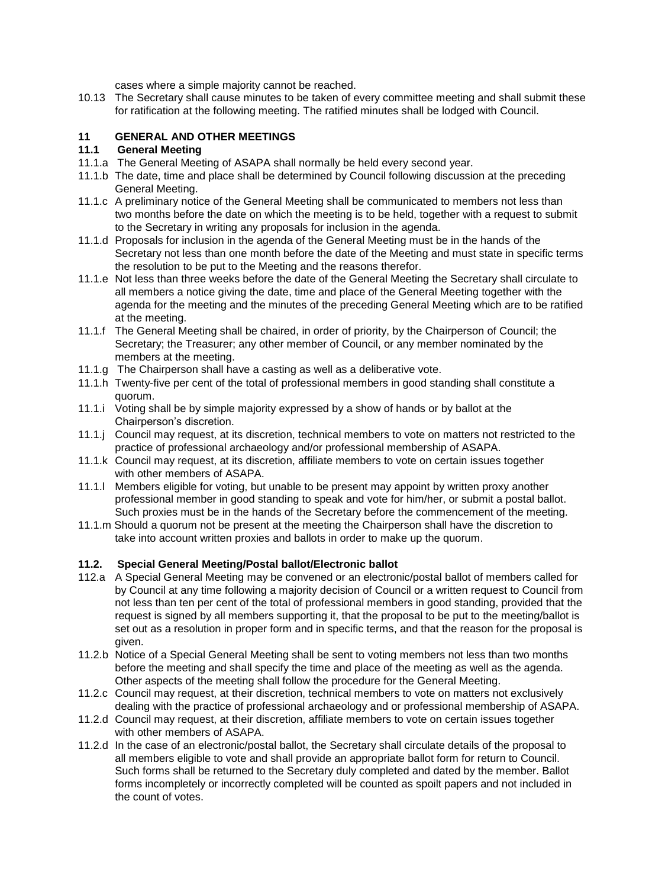cases where a simple majority cannot be reached.

10.13 The Secretary shall cause minutes to be taken of every committee meeting and shall submit these for ratification at the following meeting. The ratified minutes shall be lodged with Council.

### **11 GENERAL AND OTHER MEETINGS**

### **11.1 General Meeting**

- 11.1.a The General Meeting of ASAPA shall normally be held every second year.
- 11.1.b The date, time and place shall be determined by Council following discussion at the preceding General Meeting.
- 11.1.c A preliminary notice of the General Meeting shall be communicated to members not less than two months before the date on which the meeting is to be held, together with a request to submit to the Secretary in writing any proposals for inclusion in the agenda.
- 11.1.d Proposals for inclusion in the agenda of the General Meeting must be in the hands of the Secretary not less than one month before the date of the Meeting and must state in specific terms the resolution to be put to the Meeting and the reasons therefor.
- 11.1.e Not less than three weeks before the date of the General Meeting the Secretary shall circulate to all members a notice giving the date, time and place of the General Meeting together with the agenda for the meeting and the minutes of the preceding General Meeting which are to be ratified at the meeting.
- 11.1.f The General Meeting shall be chaired, in order of priority, by the Chairperson of Council; the Secretary; the Treasurer; any other member of Council, or any member nominated by the members at the meeting.
- 11.1.g The Chairperson shall have a casting as well as a deliberative vote.
- 11.1.h Twenty-five per cent of the total of professional members in good standing shall constitute a quorum.
- 11.1.i Voting shall be by simple majority expressed by a show of hands or by ballot at the Chairperson's discretion.
- 11.1.j Council may request, at its discretion, technical members to vote on matters not restricted to the practice of professional archaeology and/or professional membership of ASAPA.
- 11.1.k Council may request, at its discretion, affiliate members to vote on certain issues together with other members of ASAPA.
- 11.1.l Members eligible for voting, but unable to be present may appoint by written proxy another professional member in good standing to speak and vote for him/her, or submit a postal ballot. Such proxies must be in the hands of the Secretary before the commencement of the meeting.
- 11.1.m Should a quorum not be present at the meeting the Chairperson shall have the discretion to take into account written proxies and ballots in order to make up the quorum.

#### **11.2. Special General Meeting/Postal ballot/Electronic ballot**

- 112.a A Special General Meeting may be convened or an electronic/postal ballot of members called for by Council at any time following a majority decision of Council or a written request to Council from not less than ten per cent of the total of professional members in good standing, provided that the request is signed by all members supporting it, that the proposal to be put to the meeting/ballot is set out as a resolution in proper form and in specific terms, and that the reason for the proposal is given.
- 11.2.b Notice of a Special General Meeting shall be sent to voting members not less than two months before the meeting and shall specify the time and place of the meeting as well as the agenda. Other aspects of the meeting shall follow the procedure for the General Meeting.
- 11.2.c Council may request, at their discretion, technical members to vote on matters not exclusively dealing with the practice of professional archaeology and or professional membership of ASAPA.
- 11.2.d Council may request, at their discretion, affiliate members to vote on certain issues together with other members of ASAPA.
- 11.2.d In the case of an electronic/postal ballot, the Secretary shall circulate details of the proposal to all members eligible to vote and shall provide an appropriate ballot form for return to Council. Such forms shall be returned to the Secretary duly completed and dated by the member. Ballot forms incompletely or incorrectly completed will be counted as spoilt papers and not included in the count of votes.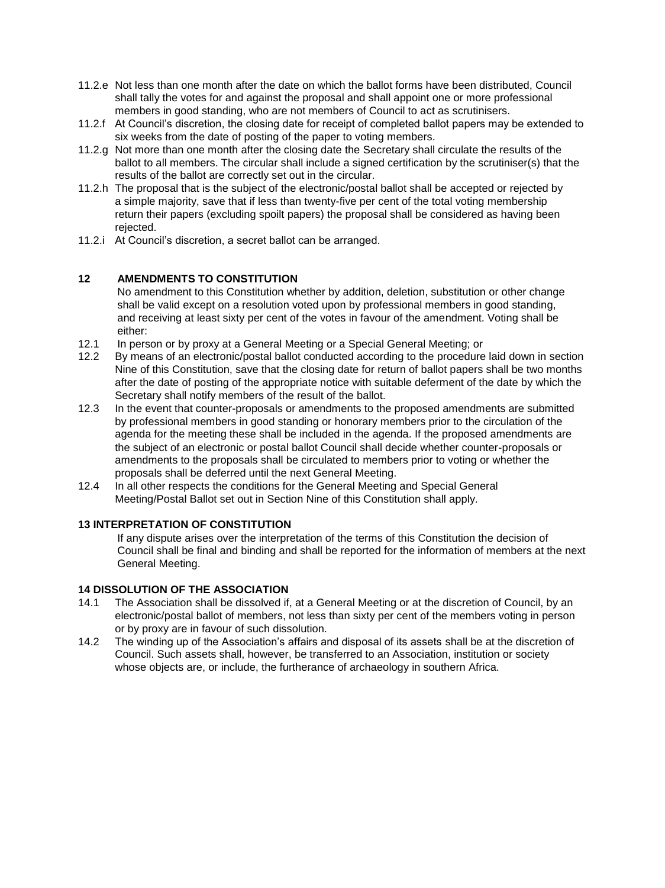- 11.2.e Not less than one month after the date on which the ballot forms have been distributed, Council shall tally the votes for and against the proposal and shall appoint one or more professional members in good standing, who are not members of Council to act as scrutinisers.
- 11.2.f At Council's discretion, the closing date for receipt of completed ballot papers may be extended to six weeks from the date of posting of the paper to voting members.
- 11.2.g Not more than one month after the closing date the Secretary shall circulate the results of the ballot to all members. The circular shall include a signed certification by the scrutiniser(s) that the results of the ballot are correctly set out in the circular.
- 11.2.h The proposal that is the subject of the electronic/postal ballot shall be accepted or rejected by a simple majority, save that if less than twenty-five per cent of the total voting membership return their papers (excluding spoilt papers) the proposal shall be considered as having been rejected.
- 11.2.i At Council's discretion, a secret ballot can be arranged.

# **12 AMENDMENTS TO CONSTITUTION**

No amendment to this Constitution whether by addition, deletion, substitution or other change shall be valid except on a resolution voted upon by professional members in good standing, and receiving at least sixty per cent of the votes in favour of the amendment. Voting shall be either:

- 12.1 In person or by proxy at a General Meeting or a Special General Meeting; or
- 12.2 By means of an electronic/postal ballot conducted according to the procedure laid down in section Nine of this Constitution, save that the closing date for return of ballot papers shall be two months after the date of posting of the appropriate notice with suitable deferment of the date by which the Secretary shall notify members of the result of the ballot.
- 12.3 In the event that counter-proposals or amendments to the proposed amendments are submitted by professional members in good standing or honorary members prior to the circulation of the agenda for the meeting these shall be included in the agenda. If the proposed amendments are the subject of an electronic or postal ballot Council shall decide whether counter-proposals or amendments to the proposals shall be circulated to members prior to voting or whether the proposals shall be deferred until the next General Meeting.
- 12.4 In all other respects the conditions for the General Meeting and Special General Meeting/Postal Ballot set out in Section Nine of this Constitution shall apply.

# **13 INTERPRETATION OF CONSTITUTION**

If any dispute arises over the interpretation of the terms of this Constitution the decision of Council shall be final and binding and shall be reported for the information of members at the next General Meeting.

### **14 DISSOLUTION OF THE ASSOCIATION**

- 14.1 The Association shall be dissolved if, at a General Meeting or at the discretion of Council, by an electronic/postal ballot of members, not less than sixty per cent of the members voting in person or by proxy are in favour of such dissolution.
- 14.2 The winding up of the Association's affairs and disposal of its assets shall be at the discretion of Council. Such assets shall, however, be transferred to an Association, institution or society whose objects are, or include, the furtherance of archaeology in southern Africa.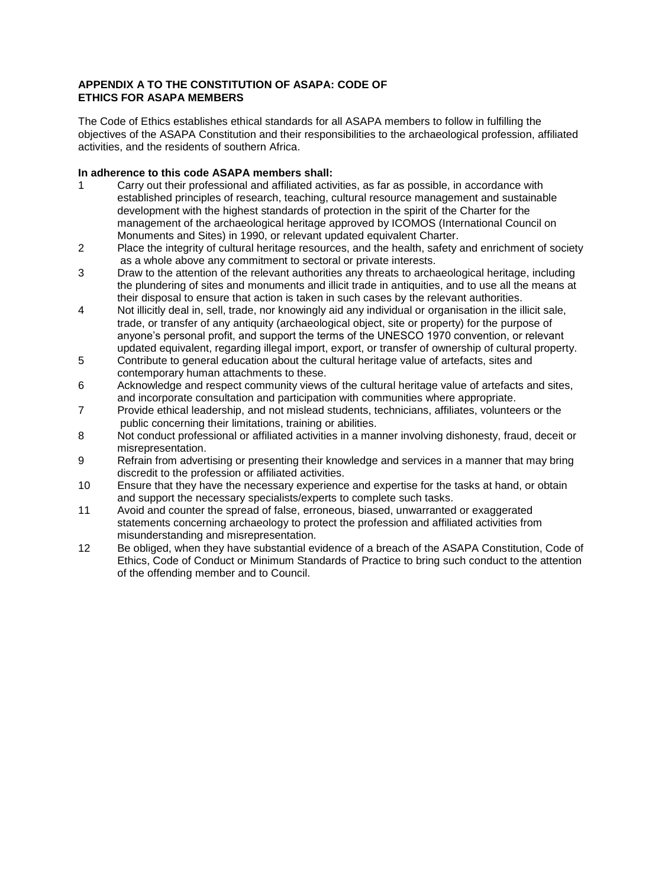### **APPENDIX A TO THE CONSTITUTION OF ASAPA: CODE OF ETHICS FOR ASAPA MEMBERS**

The Code of Ethics establishes ethical standards for all ASAPA members to follow in fulfilling the objectives of the ASAPA Constitution and their responsibilities to the archaeological profession, affiliated activities, and the residents of southern Africa.

### **In adherence to this code ASAPA members shall:**

- 1 Carry out their professional and affiliated activities, as far as possible, in accordance with established principles of research, teaching, cultural resource management and sustainable development with the highest standards of protection in the spirit of the Charter for the management of the archaeological heritage approved by ICOMOS (International Council on Monuments and Sites) in 1990, or relevant updated equivalent Charter.
- 2 Place the integrity of cultural heritage resources, and the health, safety and enrichment of society as a whole above any commitment to sectoral or private interests.
- 3 Draw to the attention of the relevant authorities any threats to archaeological heritage, including the plundering of sites and monuments and illicit trade in antiquities, and to use all the means at their disposal to ensure that action is taken in such cases by the relevant authorities.
- 4 Not illicitly deal in, sell, trade, nor knowingly aid any individual or organisation in the illicit sale, trade, or transfer of any antiquity (archaeological object, site or property) for the purpose of anyone's personal profit, and support the terms of the UNESCO 1970 convention, or relevant updated equivalent, regarding illegal import, export, or transfer of ownership of cultural property.
- 5 Contribute to general education about the cultural heritage value of artefacts, sites and contemporary human attachments to these.
- 6 Acknowledge and respect community views of the cultural heritage value of artefacts and sites, and incorporate consultation and participation with communities where appropriate.
- 7 Provide ethical leadership, and not mislead students, technicians, affiliates, volunteers or the public concerning their limitations, training or abilities.
- 8 Not conduct professional or affiliated activities in a manner involving dishonesty, fraud, deceit or misrepresentation.
- 9 Refrain from advertising or presenting their knowledge and services in a manner that may bring discredit to the profession or affiliated activities.
- 10 Ensure that they have the necessary experience and expertise for the tasks at hand, or obtain and support the necessary specialists/experts to complete such tasks.
- 11 Avoid and counter the spread of false, erroneous, biased, unwarranted or exaggerated statements concerning archaeology to protect the profession and affiliated activities from misunderstanding and misrepresentation.
- 12 Be obliged, when they have substantial evidence of a breach of the ASAPA Constitution, Code of Ethics, Code of Conduct or Minimum Standards of Practice to bring such conduct to the attention of the offending member and to Council.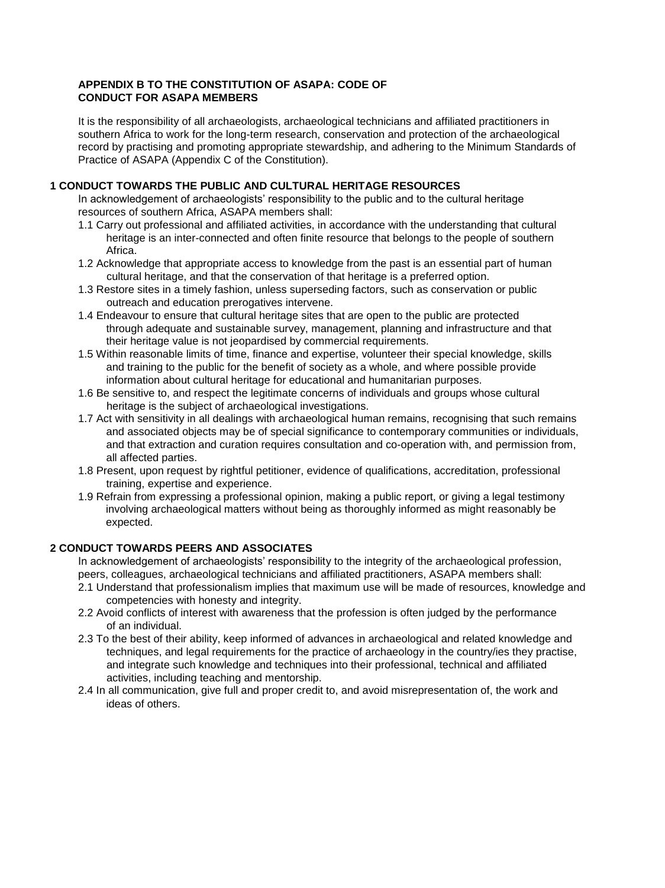### **APPENDIX B TO THE CONSTITUTION OF ASAPA: CODE OF CONDUCT FOR ASAPA MEMBERS**

It is the responsibility of all archaeologists, archaeological technicians and affiliated practitioners in southern Africa to work for the long-term research, conservation and protection of the archaeological record by practising and promoting appropriate stewardship, and adhering to the Minimum Standards of Practice of ASAPA (Appendix C of the Constitution).

# **1 CONDUCT TOWARDS THE PUBLIC AND CULTURAL HERITAGE RESOURCES**

In acknowledgement of archaeologists' responsibility to the public and to the cultural heritage resources of southern Africa, ASAPA members shall:

- 1.1 Carry out professional and affiliated activities, in accordance with the understanding that cultural heritage is an inter-connected and often finite resource that belongs to the people of southern Africa.
- 1.2 Acknowledge that appropriate access to knowledge from the past is an essential part of human cultural heritage, and that the conservation of that heritage is a preferred option.
- 1.3 Restore sites in a timely fashion, unless superseding factors, such as conservation or public outreach and education prerogatives intervene.
- 1.4 Endeavour to ensure that cultural heritage sites that are open to the public are protected through adequate and sustainable survey, management, planning and infrastructure and that their heritage value is not jeopardised by commercial requirements.
- 1.5 Within reasonable limits of time, finance and expertise, volunteer their special knowledge, skills and training to the public for the benefit of society as a whole, and where possible provide information about cultural heritage for educational and humanitarian purposes.
- 1.6 Be sensitive to, and respect the legitimate concerns of individuals and groups whose cultural heritage is the subject of archaeological investigations.
- 1.7 Act with sensitivity in all dealings with archaeological human remains, recognising that such remains and associated objects may be of special significance to contemporary communities or individuals, and that extraction and curation requires consultation and co-operation with, and permission from, all affected parties.
- 1.8 Present, upon request by rightful petitioner, evidence of qualifications, accreditation, professional training, expertise and experience.
- 1.9 Refrain from expressing a professional opinion, making a public report, or giving a legal testimony involving archaeological matters without being as thoroughly informed as might reasonably be expected.

# **2 CONDUCT TOWARDS PEERS AND ASSOCIATES**

In acknowledgement of archaeologists' responsibility to the integrity of the archaeological profession, peers, colleagues, archaeological technicians and affiliated practitioners, ASAPA members shall:

- 2.1 Understand that professionalism implies that maximum use will be made of resources, knowledge and competencies with honesty and integrity.
- 2.2 Avoid conflicts of interest with awareness that the profession is often judged by the performance of an individual.
- 2.3 To the best of their ability, keep informed of advances in archaeological and related knowledge and techniques, and legal requirements for the practice of archaeology in the country/ies they practise, and integrate such knowledge and techniques into their professional, technical and affiliated activities, including teaching and mentorship.
- 2.4 In all communication, give full and proper credit to, and avoid misrepresentation of, the work and ideas of others.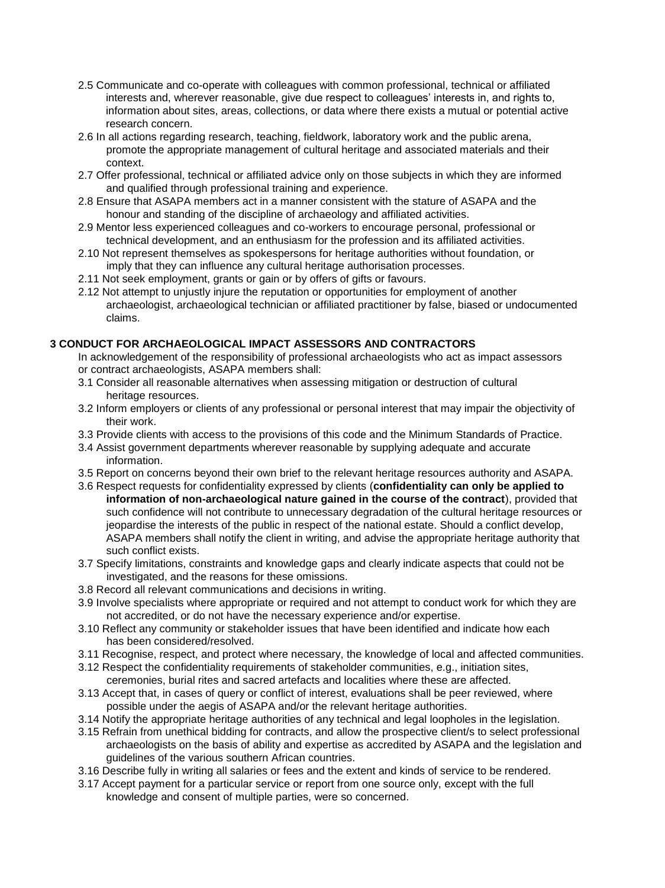- 2.5 Communicate and co-operate with colleagues with common professional, technical or affiliated interests and, wherever reasonable, give due respect to colleagues' interests in, and rights to, information about sites, areas, collections, or data where there exists a mutual or potential active research concern.
- 2.6 In all actions regarding research, teaching, fieldwork, laboratory work and the public arena, promote the appropriate management of cultural heritage and associated materials and their context.
- 2.7 Offer professional, technical or affiliated advice only on those subjects in which they are informed and qualified through professional training and experience.
- 2.8 Ensure that ASAPA members act in a manner consistent with the stature of ASAPA and the honour and standing of the discipline of archaeology and affiliated activities.
- 2.9 Mentor less experienced colleagues and co-workers to encourage personal, professional or technical development, and an enthusiasm for the profession and its affiliated activities.
- 2.10 Not represent themselves as spokespersons for heritage authorities without foundation, or imply that they can influence any cultural heritage authorisation processes.
- 2.11 Not seek employment, grants or gain or by offers of gifts or favours.
- 2.12 Not attempt to unjustly injure the reputation or opportunities for employment of another archaeologist, archaeological technician or affiliated practitioner by false, biased or undocumented claims.

### **3 CONDUCT FOR ARCHAEOLOGICAL IMPACT ASSESSORS AND CONTRACTORS**

- In acknowledgement of the responsibility of professional archaeologists who act as impact assessors or contract archaeologists, ASAPA members shall:
- 3.1 Consider all reasonable alternatives when assessing mitigation or destruction of cultural heritage resources.
- 3.2 Inform employers or clients of any professional or personal interest that may impair the objectivity of their work.
- 3.3 Provide clients with access to the provisions of this code and the Minimum Standards of Practice.
- 3.4 Assist government departments wherever reasonable by supplying adequate and accurate information.
- 3.5 Report on concerns beyond their own brief to the relevant heritage resources authority and ASAPA.
- 3.6 Respect requests for confidentiality expressed by clients (**confidentiality can only be applied to information of non-archaeological nature gained in the course of the contract**), provided that such confidence will not contribute to unnecessary degradation of the cultural heritage resources or jeopardise the interests of the public in respect of the national estate. Should a conflict develop, ASAPA members shall notify the client in writing, and advise the appropriate heritage authority that such conflict exists.
- 3.7 Specify limitations, constraints and knowledge gaps and clearly indicate aspects that could not be investigated, and the reasons for these omissions.
- 3.8 Record all relevant communications and decisions in writing.
- 3.9 Involve specialists where appropriate or required and not attempt to conduct work for which they are not accredited, or do not have the necessary experience and/or expertise.
- 3.10 Reflect any community or stakeholder issues that have been identified and indicate how each has been considered/resolved.
- 3.11 Recognise, respect, and protect where necessary, the knowledge of local and affected communities.
- 3.12 Respect the confidentiality requirements of stakeholder communities, e.g., initiation sites, ceremonies, burial rites and sacred artefacts and localities where these are affected.
- 3.13 Accept that, in cases of query or conflict of interest, evaluations shall be peer reviewed, where possible under the aegis of ASAPA and/or the relevant heritage authorities.
- 3.14 Notify the appropriate heritage authorities of any technical and legal loopholes in the legislation.
- 3.15 Refrain from unethical bidding for contracts, and allow the prospective client/s to select professional archaeologists on the basis of ability and expertise as accredited by ASAPA and the legislation and guidelines of the various southern African countries.
- 3.16 Describe fully in writing all salaries or fees and the extent and kinds of service to be rendered.
- 3.17 Accept payment for a particular service or report from one source only, except with the full knowledge and consent of multiple parties, were so concerned.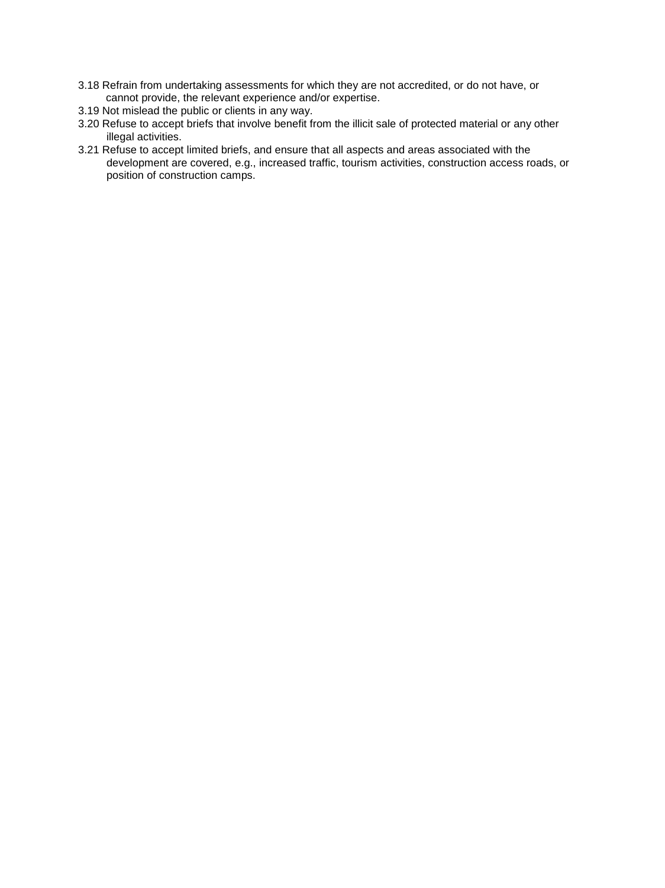- 3.18 Refrain from undertaking assessments for which they are not accredited, or do not have, or cannot provide, the relevant experience and/or expertise.
- 3.19 Not mislead the public or clients in any way.
- 3.20 Refuse to accept briefs that involve benefit from the illicit sale of protected material or any other illegal activities.
- 3.21 Refuse to accept limited briefs, and ensure that all aspects and areas associated with the development are covered, e.g., increased traffic, tourism activities, construction access roads, or position of construction camps.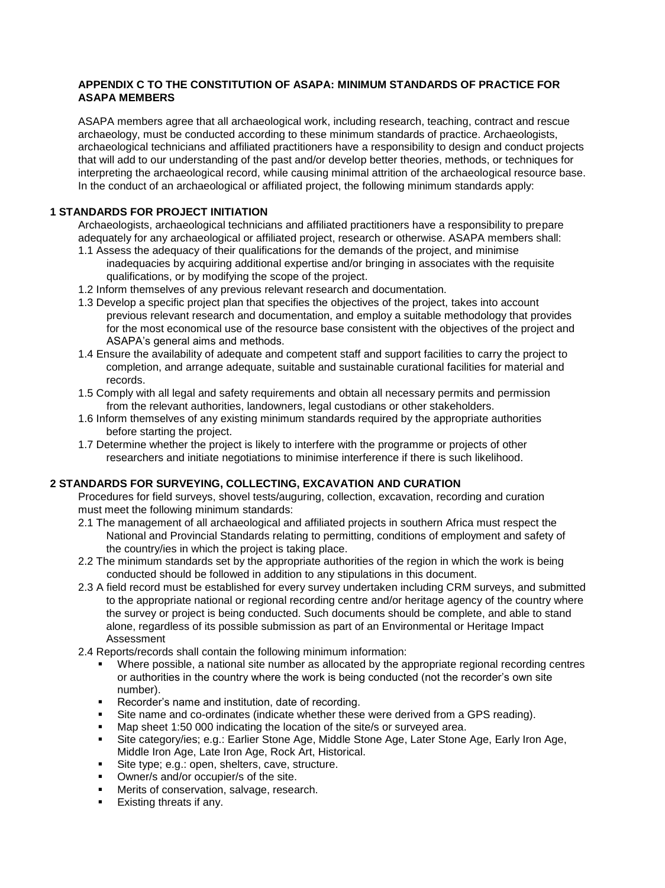### **APPENDIX C TO THE CONSTITUTION OF ASAPA: MINIMUM STANDARDS OF PRACTICE FOR ASAPA MEMBERS**

ASAPA members agree that all archaeological work, including research, teaching, contract and rescue archaeology, must be conducted according to these minimum standards of practice. Archaeologists, archaeological technicians and affiliated practitioners have a responsibility to design and conduct projects that will add to our understanding of the past and/or develop better theories, methods, or techniques for interpreting the archaeological record, while causing minimal attrition of the archaeological resource base. In the conduct of an archaeological or affiliated project, the following minimum standards apply:

### **1 STANDARDS FOR PROJECT INITIATION**

Archaeologists, archaeological technicians and affiliated practitioners have a responsibility to prepare adequately for any archaeological or affiliated project, research or otherwise. ASAPA members shall:

- 1.1 Assess the adequacy of their qualifications for the demands of the project, and minimise inadequacies by acquiring additional expertise and/or bringing in associates with the requisite qualifications, or by modifying the scope of the project.
- 1.2 Inform themselves of any previous relevant research and documentation.
- 1.3 Develop a specific project plan that specifies the objectives of the project, takes into account previous relevant research and documentation, and employ a suitable methodology that provides for the most economical use of the resource base consistent with the objectives of the project and ASAPA's general aims and methods.
- 1.4 Ensure the availability of adequate and competent staff and support facilities to carry the project to completion, and arrange adequate, suitable and sustainable curational facilities for material and records.
- 1.5 Comply with all legal and safety requirements and obtain all necessary permits and permission from the relevant authorities, landowners, legal custodians or other stakeholders.
- 1.6 Inform themselves of any existing minimum standards required by the appropriate authorities before starting the project.
- 1.7 Determine whether the project is likely to interfere with the programme or projects of other researchers and initiate negotiations to minimise interference if there is such likelihood.

### **2 STANDARDS FOR SURVEYING, COLLECTING, EXCAVATION AND CURATION**

Procedures for field surveys, shovel tests/auguring, collection, excavation, recording and curation must meet the following minimum standards:

- 2.1 The management of all archaeological and affiliated projects in southern Africa must respect the National and Provincial Standards relating to permitting, conditions of employment and safety of the country/ies in which the project is taking place.
- 2.2 The minimum standards set by the appropriate authorities of the region in which the work is being conducted should be followed in addition to any stipulations in this document.
- 2.3 A field record must be established for every survey undertaken including CRM surveys, and submitted to the appropriate national or regional recording centre and/or heritage agency of the country where the survey or project is being conducted. Such documents should be complete, and able to stand alone, regardless of its possible submission as part of an Environmental or Heritage Impact Assessment
- 2.4 Reports/records shall contain the following minimum information:
	- Where possible, a national site number as allocated by the appropriate regional recording centres or authorities in the country where the work is being conducted (not the recorder's own site number).
	- Recorder's name and institution, date of recording.
	- Site name and co-ordinates (indicate whether these were derived from a GPS reading).
	- Map sheet 1:50 000 indicating the location of the site/s or surveyed area.
	- Site category/ies; e.g.: Earlier Stone Age, Middle Stone Age, Later Stone Age, Early Iron Age, Middle Iron Age, Late Iron Age, Rock Art, Historical.
	- Site type; e.g.: open, shelters, cave, structure.
	- **•** Owner/s and/or occupier/s of the site.
	- Merits of conservation, salvage, research.
	- Existing threats if any.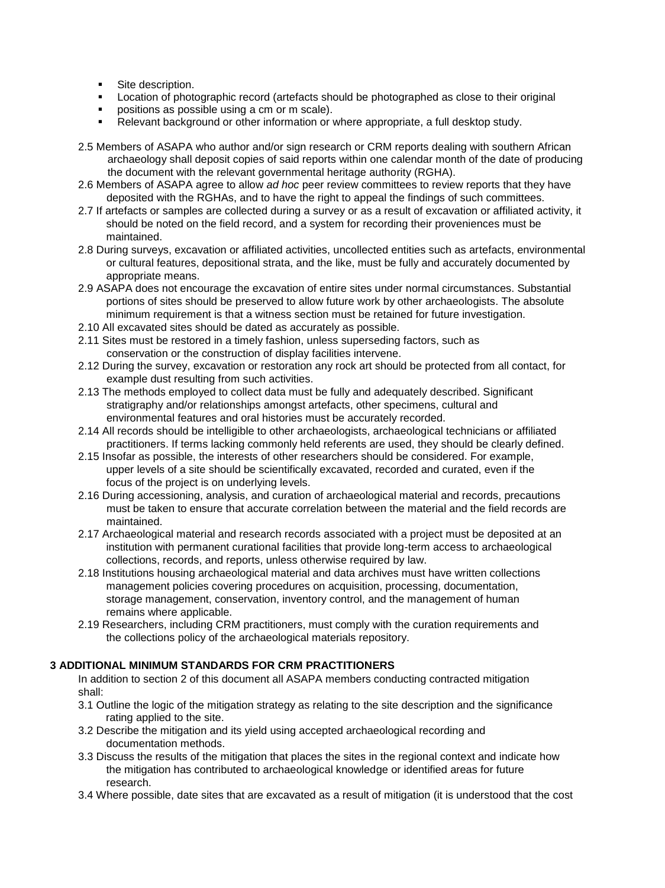- **Site description.**
- Location of photographic record (artefacts should be photographed as close to their original
- positions as possible using a cm or m scale).
- Relevant background or other information or where appropriate, a full desktop study.
- 2.5 Members of ASAPA who author and/or sign research or CRM reports dealing with southern African archaeology shall deposit copies of said reports within one calendar month of the date of producing the document with the relevant governmental heritage authority (RGHA).
- 2.6 Members of ASAPA agree to allow *ad hoc* peer review committees to review reports that they have deposited with the RGHAs, and to have the right to appeal the findings of such committees.
- 2.7 If artefacts or samples are collected during a survey or as a result of excavation or affiliated activity, it should be noted on the field record, and a system for recording their proveniences must be maintained.
- 2.8 During surveys, excavation or affiliated activities, uncollected entities such as artefacts, environmental or cultural features, depositional strata, and the like, must be fully and accurately documented by appropriate means.
- 2.9 ASAPA does not encourage the excavation of entire sites under normal circumstances. Substantial portions of sites should be preserved to allow future work by other archaeologists. The absolute minimum requirement is that a witness section must be retained for future investigation.
- 2.10 All excavated sites should be dated as accurately as possible.
- 2.11 Sites must be restored in a timely fashion, unless superseding factors, such as conservation or the construction of display facilities intervene.
- 2.12 During the survey, excavation or restoration any rock art should be protected from all contact, for example dust resulting from such activities.
- 2.13 The methods employed to collect data must be fully and adequately described. Significant stratigraphy and/or relationships amongst artefacts, other specimens, cultural and environmental features and oral histories must be accurately recorded.
- 2.14 All records should be intelligible to other archaeologists, archaeological technicians or affiliated practitioners. If terms lacking commonly held referents are used, they should be clearly defined.
- 2.15 Insofar as possible, the interests of other researchers should be considered. For example, upper levels of a site should be scientifically excavated, recorded and curated, even if the focus of the project is on underlying levels.
- 2.16 During accessioning, analysis, and curation of archaeological material and records, precautions must be taken to ensure that accurate correlation between the material and the field records are maintained.
- 2.17 Archaeological material and research records associated with a project must be deposited at an institution with permanent curational facilities that provide long-term access to archaeological collections, records, and reports, unless otherwise required by law.
- 2.18 Institutions housing archaeological material and data archives must have written collections management policies covering procedures on acquisition, processing, documentation, storage management, conservation, inventory control, and the management of human remains where applicable.
- 2.19 Researchers, including CRM practitioners, must comply with the curation requirements and the collections policy of the archaeological materials repository.

#### **3 ADDITIONAL MINIMUM STANDARDS FOR CRM PRACTITIONERS**

In addition to section 2 of this document all ASAPA members conducting contracted mitigation shall:

- 3.1 Outline the logic of the mitigation strategy as relating to the site description and the significance rating applied to the site.
- 3.2 Describe the mitigation and its yield using accepted archaeological recording and documentation methods.
- 3.3 Discuss the results of the mitigation that places the sites in the regional context and indicate how the mitigation has contributed to archaeological knowledge or identified areas for future research.
- 3.4 Where possible, date sites that are excavated as a result of mitigation (it is understood that the cost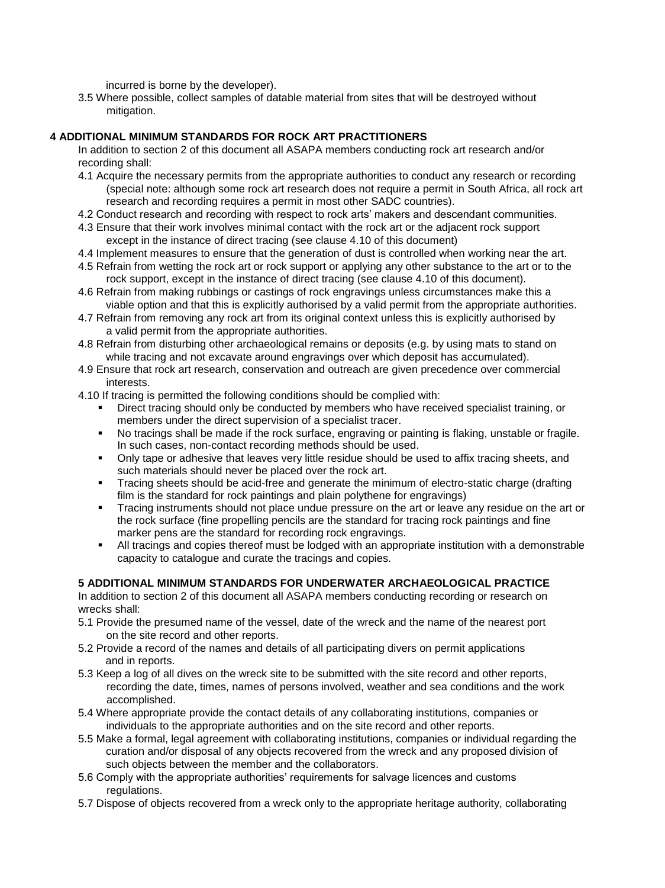incurred is borne by the developer).

3.5 Where possible, collect samples of datable material from sites that will be destroyed without mitigation.

### **4 ADDITIONAL MINIMUM STANDARDS FOR ROCK ART PRACTITIONERS**

In addition to section 2 of this document all ASAPA members conducting rock art research and/or recording shall:

- 4.1 Acquire the necessary permits from the appropriate authorities to conduct any research or recording (special note: although some rock art research does not require a permit in South Africa, all rock art research and recording requires a permit in most other SADC countries).
- 4.2 Conduct research and recording with respect to rock arts' makers and descendant communities.
- 4.3 Ensure that their work involves minimal contact with the rock art or the adjacent rock support except in the instance of direct tracing (see clause 4.10 of this document)
- 4.4 Implement measures to ensure that the generation of dust is controlled when working near the art.
- 4.5 Refrain from wetting the rock art or rock support or applying any other substance to the art or to the rock support, except in the instance of direct tracing (see clause 4.10 of this document).
- 4.6 Refrain from making rubbings or castings of rock engravings unless circumstances make this a viable option and that this is explicitly authorised by a valid permit from the appropriate authorities.
- 4.7 Refrain from removing any rock art from its original context unless this is explicitly authorised by a valid permit from the appropriate authorities.
- 4.8 Refrain from disturbing other archaeological remains or deposits (e.g. by using mats to stand on while tracing and not excavate around engravings over which deposit has accumulated).
- 4.9 Ensure that rock art research, conservation and outreach are given precedence over commercial interests.
- 4.10 If tracing is permitted the following conditions should be complied with:
	- Direct tracing should only be conducted by members who have received specialist training, or members under the direct supervision of a specialist tracer.
	- No tracings shall be made if the rock surface, engraving or painting is flaking, unstable or fragile. In such cases, non-contact recording methods should be used.
	- Only tape or adhesive that leaves very little residue should be used to affix tracing sheets, and such materials should never be placed over the rock art.
	- Tracing sheets should be acid-free and generate the minimum of electro-static charge (drafting film is the standard for rock paintings and plain polythene for engravings)
	- Tracing instruments should not place undue pressure on the art or leave any residue on the art or the rock surface (fine propelling pencils are the standard for tracing rock paintings and fine marker pens are the standard for recording rock engravings.
	- All tracings and copies thereof must be lodged with an appropriate institution with a demonstrable capacity to catalogue and curate the tracings and copies.

#### **5 ADDITIONAL MINIMUM STANDARDS FOR UNDERWATER ARCHAEOLOGICAL PRACTICE**

In addition to section 2 of this document all ASAPA members conducting recording or research on wrecks shall:

- 5.1 Provide the presumed name of the vessel, date of the wreck and the name of the nearest port on the site record and other reports.
- 5.2 Provide a record of the names and details of all participating divers on permit applications and in reports.
- 5.3 Keep a log of all dives on the wreck site to be submitted with the site record and other reports, recording the date, times, names of persons involved, weather and sea conditions and the work accomplished.
- 5.4 Where appropriate provide the contact details of any collaborating institutions, companies or individuals to the appropriate authorities and on the site record and other reports.
- 5.5 Make a formal, legal agreement with collaborating institutions, companies or individual regarding the curation and/or disposal of any objects recovered from the wreck and any proposed division of such objects between the member and the collaborators.
- 5.6 Comply with the appropriate authorities' requirements for salvage licences and customs regulations.
- 5.7 Dispose of objects recovered from a wreck only to the appropriate heritage authority, collaborating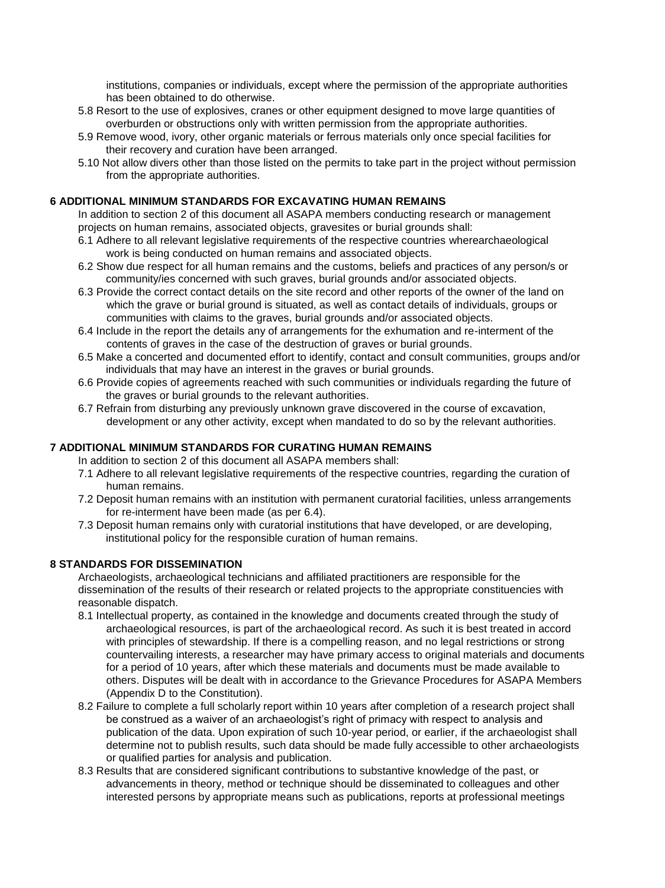institutions, companies or individuals, except where the permission of the appropriate authorities has been obtained to do otherwise.

- 5.8 Resort to the use of explosives, cranes or other equipment designed to move large quantities of overburden or obstructions only with written permission from the appropriate authorities.
- 5.9 Remove wood, ivory, other organic materials or ferrous materials only once special facilities for their recovery and curation have been arranged.
- 5.10 Not allow divers other than those listed on the permits to take part in the project without permission from the appropriate authorities.

#### **6 ADDITIONAL MINIMUM STANDARDS FOR EXCAVATING HUMAN REMAINS**

In addition to section 2 of this document all ASAPA members conducting research or management projects on human remains, associated objects, gravesites or burial grounds shall:

- 6.1 Adhere to all relevant legislative requirements of the respective countries wherearchaeological work is being conducted on human remains and associated objects.
- 6.2 Show due respect for all human remains and the customs, beliefs and practices of any person/s or community/ies concerned with such graves, burial grounds and/or associated objects.
- 6.3 Provide the correct contact details on the site record and other reports of the owner of the land on which the grave or burial ground is situated, as well as contact details of individuals, groups or communities with claims to the graves, burial grounds and/or associated objects.
- 6.4 Include in the report the details any of arrangements for the exhumation and re-interment of the contents of graves in the case of the destruction of graves or burial grounds.
- 6.5 Make a concerted and documented effort to identify, contact and consult communities, groups and/or individuals that may have an interest in the graves or burial grounds.
- 6.6 Provide copies of agreements reached with such communities or individuals regarding the future of the graves or burial grounds to the relevant authorities.
- 6.7 Refrain from disturbing any previously unknown grave discovered in the course of excavation, development or any other activity, except when mandated to do so by the relevant authorities.

#### **7 ADDITIONAL MINIMUM STANDARDS FOR CURATING HUMAN REMAINS**

In addition to section 2 of this document all ASAPA members shall:

- 7.1 Adhere to all relevant legislative requirements of the respective countries, regarding the curation of human remains.
- 7.2 Deposit human remains with an institution with permanent curatorial facilities, unless arrangements for re-interment have been made (as per 6.4).
- 7.3 Deposit human remains only with curatorial institutions that have developed, or are developing, institutional policy for the responsible curation of human remains.

#### **8 STANDARDS FOR DISSEMINATION**

Archaeologists, archaeological technicians and affiliated practitioners are responsible for the dissemination of the results of their research or related projects to the appropriate constituencies with reasonable dispatch.

- 8.1 Intellectual property, as contained in the knowledge and documents created through the study of archaeological resources, is part of the archaeological record. As such it is best treated in accord with principles of stewardship. If there is a compelling reason, and no legal restrictions or strong countervailing interests, a researcher may have primary access to original materials and documents for a period of 10 years, after which these materials and documents must be made available to others. Disputes will be dealt with in accordance to the Grievance Procedures for ASAPA Members (Appendix D to the Constitution).
- 8.2 Failure to complete a full scholarly report within 10 years after completion of a research project shall be construed as a waiver of an archaeologist's right of primacy with respect to analysis and publication of the data. Upon expiration of such 10-year period, or earlier, if the archaeologist shall determine not to publish results, such data should be made fully accessible to other archaeologists or qualified parties for analysis and publication.
- 8.3 Results that are considered significant contributions to substantive knowledge of the past, or advancements in theory, method or technique should be disseminated to colleagues and other interested persons by appropriate means such as publications, reports at professional meetings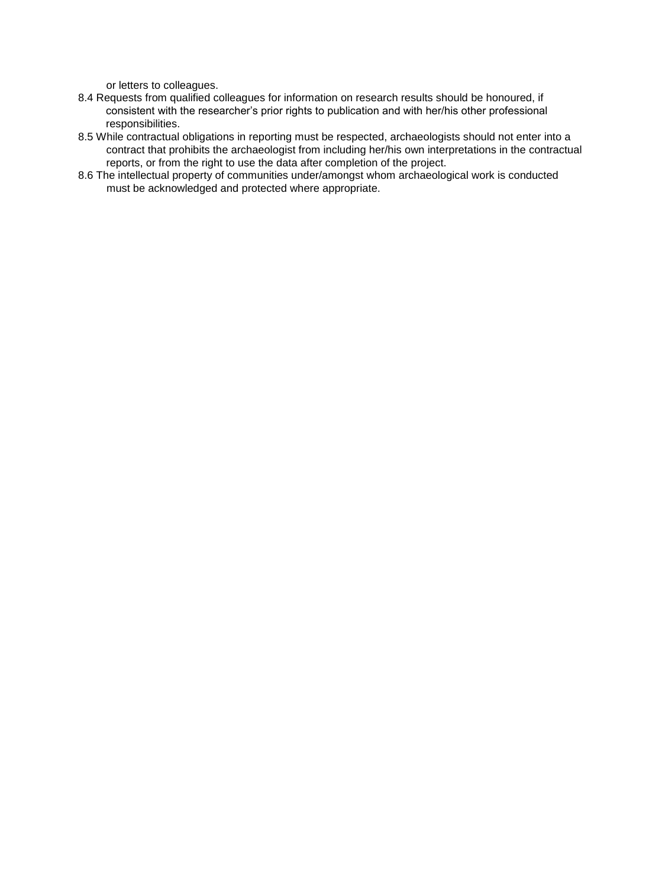or letters to colleagues.

- 8.4 Requests from qualified colleagues for information on research results should be honoured, if consistent with the researcher's prior rights to publication and with her/his other professional responsibilities.
- 8.5 While contractual obligations in reporting must be respected, archaeologists should not enter into a contract that prohibits the archaeologist from including her/his own interpretations in the contractual reports, or from the right to use the data after completion of the project.
- 8.6 The intellectual property of communities under/amongst whom archaeological work is conducted must be acknowledged and protected where appropriate.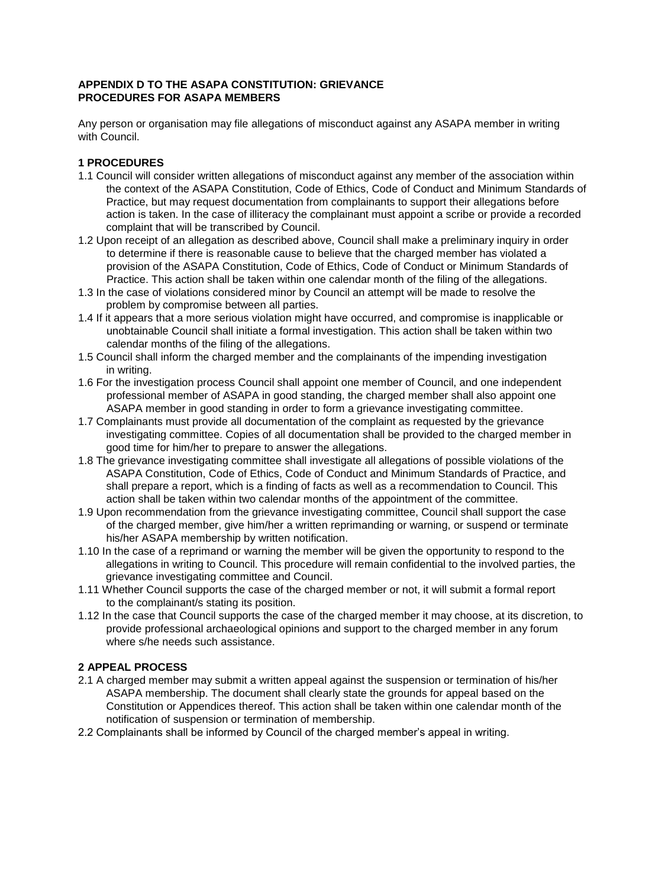### **APPENDIX D TO THE ASAPA CONSTITUTION: GRIEVANCE PROCEDURES FOR ASAPA MEMBERS**

Any person or organisation may file allegations of misconduct against any ASAPA member in writing with Council.

# **1 PROCEDURES**

- 1.1 Council will consider written allegations of misconduct against any member of the association within the context of the ASAPA Constitution, Code of Ethics, Code of Conduct and Minimum Standards of Practice, but may request documentation from complainants to support their allegations before action is taken. In the case of illiteracy the complainant must appoint a scribe or provide a recorded complaint that will be transcribed by Council.
- 1.2 Upon receipt of an allegation as described above, Council shall make a preliminary inquiry in order to determine if there is reasonable cause to believe that the charged member has violated a provision of the ASAPA Constitution, Code of Ethics, Code of Conduct or Minimum Standards of Practice. This action shall be taken within one calendar month of the filing of the allegations.
- 1.3 In the case of violations considered minor by Council an attempt will be made to resolve the problem by compromise between all parties.
- 1.4 If it appears that a more serious violation might have occurred, and compromise is inapplicable or unobtainable Council shall initiate a formal investigation. This action shall be taken within two calendar months of the filing of the allegations.
- 1.5 Council shall inform the charged member and the complainants of the impending investigation in writing.
- 1.6 For the investigation process Council shall appoint one member of Council, and one independent professional member of ASAPA in good standing, the charged member shall also appoint one ASAPA member in good standing in order to form a grievance investigating committee.
- 1.7 Complainants must provide all documentation of the complaint as requested by the grievance investigating committee. Copies of all documentation shall be provided to the charged member in good time for him/her to prepare to answer the allegations.
- 1.8 The grievance investigating committee shall investigate all allegations of possible violations of the ASAPA Constitution, Code of Ethics, Code of Conduct and Minimum Standards of Practice, and shall prepare a report, which is a finding of facts as well as a recommendation to Council. This action shall be taken within two calendar months of the appointment of the committee.
- 1.9 Upon recommendation from the grievance investigating committee, Council shall support the case of the charged member, give him/her a written reprimanding or warning, or suspend or terminate his/her ASAPA membership by written notification.
- 1.10 In the case of a reprimand or warning the member will be given the opportunity to respond to the allegations in writing to Council. This procedure will remain confidential to the involved parties, the grievance investigating committee and Council.
- 1.11 Whether Council supports the case of the charged member or not, it will submit a formal report to the complainant/s stating its position.
- 1.12 In the case that Council supports the case of the charged member it may choose, at its discretion, to provide professional archaeological opinions and support to the charged member in any forum where s/he needs such assistance.

# **2 APPEAL PROCESS**

- 2.1 A charged member may submit a written appeal against the suspension or termination of his/her ASAPA membership. The document shall clearly state the grounds for appeal based on the Constitution or Appendices thereof. This action shall be taken within one calendar month of the notification of suspension or termination of membership.
- 2.2 Complainants shall be informed by Council of the charged member's appeal in writing.